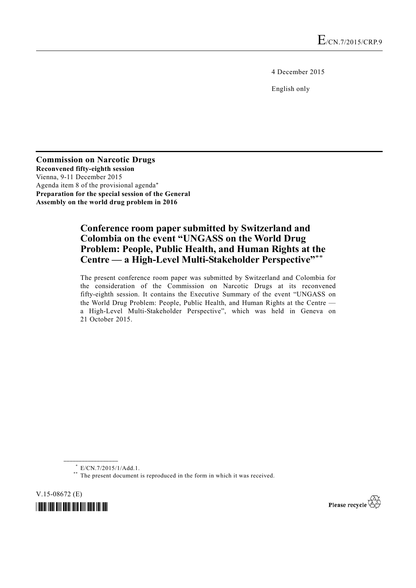4 December 2015

English only

**Commission on Narcotic Drugs Reconvened fifty-eighth session**  Vienna, 9-11 December 2015 Agenda item 8 of the provisional agenda\* **Preparation for the special session of the General Assembly on the world drug problem in 2016** 

# **Conference room paper submitted by Switzerland and Colombia on the event "UNGASS on the World Drug Problem: People, Public Health, and Human Rights at the Centre — a High-Level Multi-Stakeholder Perspective"**\*\*

The present conference room paper was submitted by Switzerland and Colombia for the consideration of the Commission on Narcotic Drugs at its reconvened fifty-eighth session. It contains the Executive Summary of the event "UNGASS on the World Drug Problem: People, Public Health, and Human Rights at the Centre a High-Level Multi-Stakeholder Perspective", which was held in Geneva on 21 October 2015.

**\_\_\_\_\_\_\_\_\_\_\_\_\_\_\_\_\_\_** 

V.15-08672 (E)





<sup>\*</sup> E/CN.7/2015/1/Add.1.

<sup>\*\*</sup> The present document is reproduced in the form in which it was received.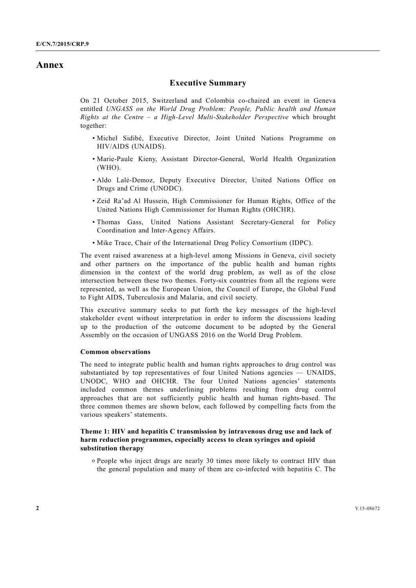# **Annex**

## **Executive Summary**

On 21 October 2015, Switzerland and Colombia co-chaired an event in Geneva entitled *UNGASS on the World Drug Problem: People, Public health and Human Rights at the Centre – a High-Level Multi-Stakeholder Perspective* which brought together:

- Michel Sidibé, Executive Director, Joint United Nations Programme on HIV/AIDS (UNAIDS).
- Marie-Paule Kieny, Assistant Director-General, World Health Organization (WHO).
- Aldo Lalé-Demoz, Deputy Executive Director, United Nations Office on Drugs and Crime (UNODC).
- Zeid Ra'ad Al Hussein, High Commissioner for Human Rights, Office of the United Nations High Commissioner for Human Rights (OHCHR).
- Thomas Gass, United Nations Assistant Secretary-General for Policy Coordination and Inter-Agency Affairs.
- Mike Trace, Chair of the International Drug Policy Consortium (IDPC).

The event raised awareness at a high-level among Missions in Geneva, civil society and other partners on the importance of the public health and human rights dimension in the context of the world drug problem, as well as of the close intersection between these two themes. Forty-six countries from all the regions were represented, as well as the European Union, the Council of Europe, the Global Fund to Fight AIDS, Tuberculosis and Malaria, and civil society.

This executive summary seeks to put forth the key messages of the high-level stakeholder event without interpretation in order to inform the discussions leading up to the production of the outcome document to be adopted by the General Assembly on the occasion of UNGASS 2016 on the World Drug Problem.

### **Common observations**

The need to integrate public health and human rights approaches to drug control was substantiated by top representatives of four United Nations agencies — UNAIDS, UNODC, WHO and OHCHR. The four United Nations agencies' statements included common themes underlining problems resulting from drug control approaches that are not sufficiently public health and human rights-based. The three common themes are shown below, each followed by compelling facts from the various speakers' statements.

## **Theme 1: HIV and hepatitis C transmission by intravenous drug use and lack of harm reduction programmes, especially access to clean syringes and opioid substitution therapy**

o People who inject drugs are nearly 30 times more likely to contract HIV than the general population and many of them are co-infected with hepatitis C. The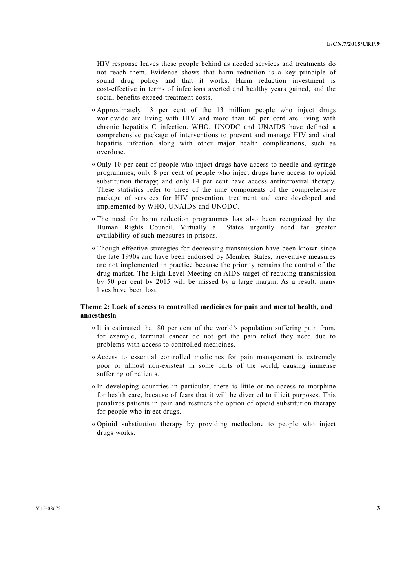HIV response leaves these people behind as needed services and treatments do not reach them. Evidence shows that harm reduction is a key principle of sound drug policy and that it works. Harm reduction investment is cost-effective in terms of infections averted and healthy years gained, and the social benefits exceed treatment costs.

- o Approximately 13 per cent of the 13 million people who inject drugs worldwide are living with HIV and more than 60 per cent are living with chronic hepatitis C infection. WHO, UNODC and UNAIDS have defined a comprehensive package of interventions to prevent and manage HIV and viral hepatitis infection along with other major health complications, such as overdose.
- o Only 10 per cent of people who inject drugs have access to needle and syringe programmes; only 8 per cent of people who inject drugs have access to opioid substitution therapy; and only 14 per cent have access antiretroviral therapy. These statistics refer to three of the nine components of the comprehensive package of services for HIV prevention, treatment and care developed and implemented by WHO, UNAIDS and UNODC.
- o The need for harm reduction programmes has also been recognized by the Human Rights Council. Virtually all States urgently need far greater availability of such measures in prisons.
- o Though effective strategies for decreasing transmission have been known since the late 1990s and have been endorsed by Member States, preventive measures are not implemented in practice because the priority remains the control of the drug market. The High Level Meeting on AIDS target of reducing transmission by 50 per cent by 2015 will be missed by a large margin. As a result, many lives have been lost.

### **Theme 2: Lack of access to controlled medicines for pain and mental health, and anaesthesia**

- o It is estimated that 80 per cent of the world's population suffering pain from, for example, terminal cancer do not get the pain relief they need due to problems with access to controlled medicines.
- o Access to essential controlled medicines for pain management is extremely poor or almost non-existent in some parts of the world, causing immense suffering of patients.
- o In developing countries in particular, there is little or no access to morphine for health care, because of fears that it will be diverted to illicit purposes. This penalizes patients in pain and restricts the option of opioid substitution therapy for people who inject drugs.
- o Opioid substitution therapy by providing methadone to people who inject drugs works.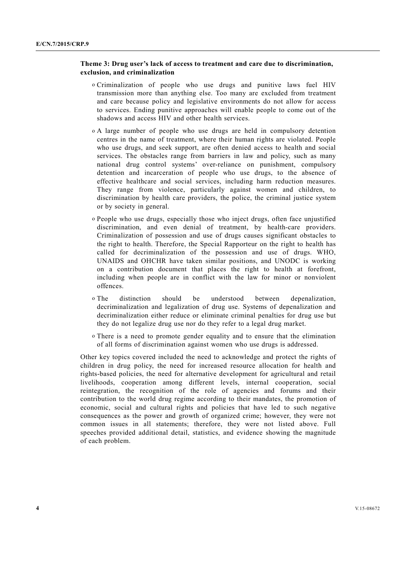#### **Theme 3: Drug user's lack of access to treatment and care due to discrimination, exclusion, and criminalization**

- o Criminalization of people who use drugs and punitive laws fuel HIV transmission more than anything else. Too many are excluded from treatment and care because policy and legislative environments do not allow for access to services. Ending punitive approaches will enable people to come out of the shadows and access HIV and other health services.
- o A large number of people who use drugs are held in compulsory detention centres in the name of treatment, where their human rights are violated. People who use drugs, and seek support, are often denied access to health and social services. The obstacles range from barriers in law and policy, such as many national drug control systems' over-reliance on punishment, compulsory detention and incarceration of people who use drugs, to the absence of effective healthcare and social services, including harm reduction measures. They range from violence, particularly against women and children, to discrimination by health care providers, the police, the criminal justice system or by society in general.
- o People who use drugs, especially those who inject drugs, often face unjustified discrimination, and even denial of treatment, by health-care providers. Criminalization of possession and use of drugs causes significant obstacles to the right to health. Therefore, the Special Rapporteur on the right to health has called for decriminalization of the possession and use of drugs. WHO, UNAIDS and OHCHR have taken similar positions, and UNODC is working on a contribution document that places the right to health at forefront, including when people are in conflict with the law for minor or nonviolent offences.
- o The distinction should be understood between depenalization, decriminalization and legalization of drug use. Systems of depenalization and decriminalization either reduce or eliminate criminal penalties for drug use but they do not legalize drug use nor do they refer to a legal drug market.
- o There is a need to promote gender equality and to ensure that the elimination of all forms of discrimination against women who use drugs is addressed.

Other key topics covered included the need to acknowledge and protect the rights of children in drug policy, the need for increased resource allocation for health and rights-based policies, the need for alternative development for agricultural and retail livelihoods, cooperation among different levels, internal cooperation, social reintegration, the recognition of the role of agencies and forums and their contribution to the world drug regime according to their mandates, the promotion of economic, social and cultural rights and policies that have led to such negative consequences as the power and growth of organized crime; however, they were not common issues in all statements; therefore, they were not listed above. Full speeches provided additional detail, statistics, and evidence showing the magnitude of each problem.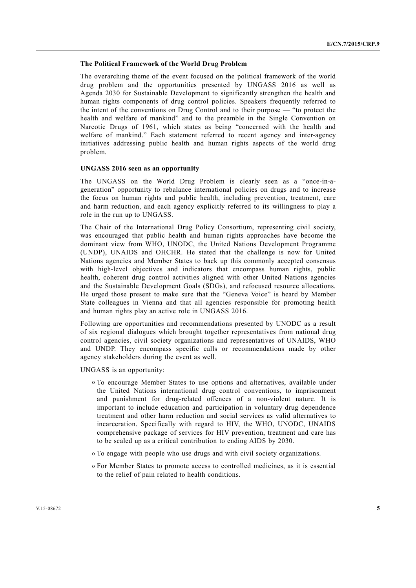#### **The Political Framework of the World Drug Problem**

The overarching theme of the event focused on the political framework of the world drug problem and the opportunities presented by UNGASS 2016 as well as Agenda 2030 for Sustainable Development to significantly strengthen the health and human rights components of drug control policies. Speakers frequently referred to the intent of the conventions on Drug Control and to their purpose — "to protect the health and welfare of mankind" and to the preamble in the Single Convention on Narcotic Drugs of 1961, which states as being "concerned with the health and welfare of mankind." Each statement referred to recent agency and inter-agency initiatives addressing public health and human rights aspects of the world drug problem.

#### **UNGASS 2016 seen as an opportunity**

The UNGASS on the World Drug Problem is clearly seen as a "once-in-ageneration" opportunity to rebalance international policies on drugs and to increase the focus on human rights and public health, including prevention, treatment, care and harm reduction, and each agency explicitly referred to its willingness to play a role in the run up to UNGASS.

The Chair of the International Drug Policy Consortium, representing civil society, was encouraged that public health and human rights approaches have become the dominant view from WHO, UNODC, the United Nations Development Programme (UNDP), UNAIDS and OHCHR. He stated that the challenge is now for United Nations agencies and Member States to back up this commonly accepted consensus with high-level objectives and indicators that encompass human rights, public health, coherent drug control activities aligned with other United Nations agencies and the Sustainable Development Goals (SDGs), and refocused resource allocations. He urged those present to make sure that the "Geneva Voice" is heard by Member State colleagues in Vienna and that all agencies responsible for promoting health and human rights play an active role in UNGASS 2016.

Following are opportunities and recommendations presented by UNODC as a result of six regional dialogues which brought together representatives from national drug control agencies, civil society organizations and representatives of UNAIDS, WHO and UNDP. They encompass specific calls or recommendations made by other agency stakeholders during the event as well.

UNGASS is an opportunity:

- o To encourage Member States to use options and alternatives, available under the United Nations international drug control conventions, to imprisonment and punishment for drug-related offences of a non-violent nature. It is important to include education and participation in voluntary drug dependence treatment and other harm reduction and social services as valid alternatives to incarceration. Specifically with regard to HIV, the WHO, UNODC, UNAIDS comprehensive package of services for HIV prevention, treatment and care has to be scaled up as a critical contribution to ending AIDS by 2030.
- o To engage with people who use drugs and with civil society organizations.
- o For Member States to promote access to controlled medicines, as it is essential to the relief of pain related to health conditions.